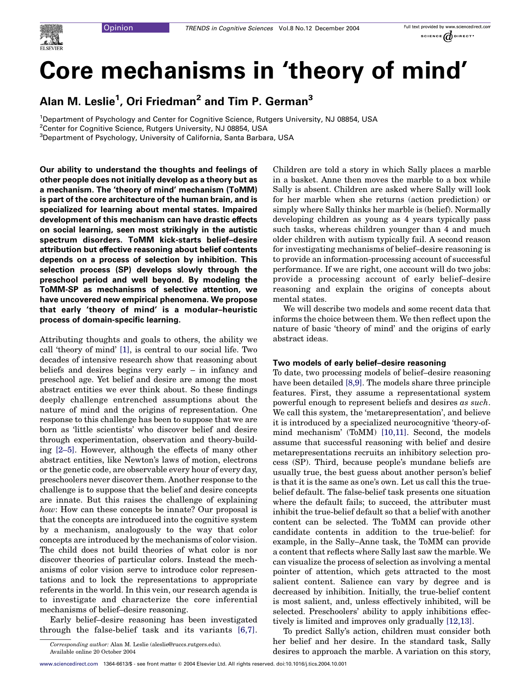# Core mechanisms in 'theory of mind'

Alan M. Leslie<sup>1</sup>, Ori Friedman<sup>2</sup> and Tim P. German<sup>3</sup>

<sup>1</sup>Department of Psychology and Center for Cognitive Science, Rutgers University, NJ 08854, USA

3 Department of Psychology, University of California, Santa Barbara, USA

Our ability to understand the thoughts and feelings of other people does not initially develop as a theory but as a mechanism. The 'theory of mind' mechanism (ToMM) is part of the core architecture of the human brain, and is specialized for learning about mental states. Impaired development of this mechanism can have drastic effects on social learning, seen most strikingly in the autistic spectrum disorders. ToMM kick-starts belief–desire attribution but effective reasoning about belief contents depends on a process of selection by inhibition. This selection process (SP) develops slowly through the preschool period and well beyond. By modeling the ToMM-SP as mechanisms of selective attention, we have uncovered new empirical phenomena. We propose that early 'theory of mind' is a modular–heuristic process of domain-specific learning.

Attributing thoughts and goals to others, the ability we call 'theory of mind' [\[1\]](#page-4-0), is central to our social life. Two decades of intensive research show that reasoning about beliefs and desires begins very early – in infancy and preschool age. Yet belief and desire are among the most abstract entities we ever think about. So these findings deeply challenge entrenched assumptions about the nature of mind and the origins of representation. One response to this challenge has been to suppose that we are born as 'little scientists' who discover belief and desire through experimentation, observation and theory-building [\[2–5\]](#page-4-0). However, although the effects of many other abstract entities, like Newton's laws of motion, electrons or the genetic code, are observable every hour of every day, preschoolers never discover them. Another response to the challenge is to suppose that the belief and desire concepts are innate. But this raises the challenge of explaining how: How can these concepts be innate? Our proposal is that the concepts are introduced into the cognitive system by a mechanism, analogously to the way that color concepts are introduced by the mechanisms of color vision. The child does not build theories of what color is nor discover theories of particular colors. Instead the mechanisms of color vision serve to introduce color representations and to lock the representations to appropriate referents in the world. In this vein, our research agenda is to investigate and characterize the core inferential mechanisms of belief–desire reasoning.

Early belief–desire reasoning has been investigated through the false-belief task and its variants [\[6,7\]](#page-4-0). Children are told a story in which Sally places a marble in a basket. Anne then moves the marble to a box while Sally is absent. Children are asked where Sally will look for her marble when she returns (action prediction) or simply where Sally thinks her marble is (belief). Normally developing children as young as 4 years typically pass such tasks, whereas children younger than 4 and much older children with autism typically fail. A second reason for investigating mechanisms of belief–desire reasoning is to provide an information-processing account of successful performance. If we are right, one account will do two jobs: provide a processing account of early belief–desire reasoning and explain the origins of concepts about mental states.

We will describe two models and some recent data that informs the choice between them. We then reflect upon the nature of basic 'theory of mind' and the origins of early abstract ideas.

## Two models of early belief–desire reasoning

To date, two processing models of belief–desire reasoning have been detailed [\[8,9\].](#page-4-0) The models share three principle features. First, they assume a representational system powerful enough to represent beliefs and desires as such. We call this system, the 'metarepresentation', and believe it is introduced by a specialized neurocognitive 'theory-ofmind mechanism' (ToMM) [\[10,11\]](#page-4-0). Second, the models assume that successful reasoning with belief and desire metarepresentations recruits an inhibitory selection process (SP). Third, because people's mundane beliefs are usually true, the best guess about another person's belief is that it is the same as one's own. Let us call this the truebelief default. The false-belief task presents one situation where the default fails; to succeed, the attributer must inhibit the true-belief default so that a belief with another content can be selected. The ToMM can provide other candidate contents in addition to the true-belief: for example, in the Sally–Anne task, the ToMM can provide a content that reflects where Sally last saw the marble. We can visualize the process of selection as involving a mental pointer of attention, which gets attracted to the most salient content. Salience can vary by degree and is decreased by inhibition. Initially, the true-belief content is most salient, and, unless effectively inhibited, will be selected. Preschoolers' ability to apply inhibitions effectively is limited and improves only gradually [\[12,13\]](#page-4-0).

To predict Sally's action, children must consider both her belief and her desire. In the standard task, Sally desires to approach the marble. A variation on this story,

<sup>&</sup>lt;sup>2</sup>Center for Cognitive Science, Rutgers University, NJ 08854, USA

Corresponding author: Alan M. Leslie (aleslie@ruccs.rutgers.edu). Available online 20 October 2004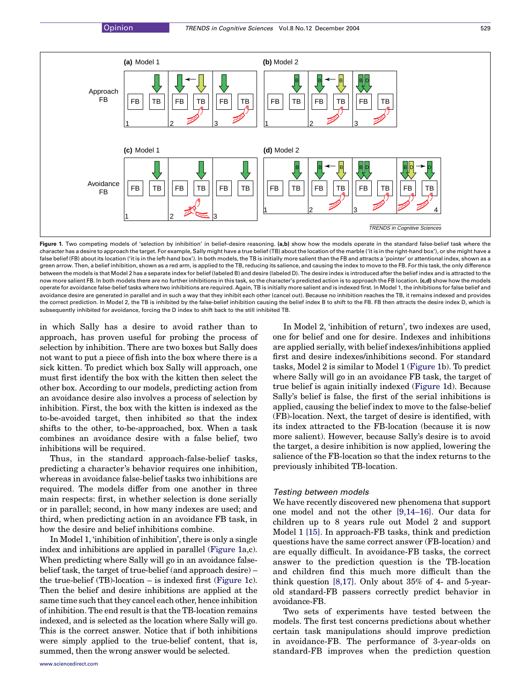

Figure 1. Two competing models of 'selection by inhibition' in belief-desire reasoning. (a,b) show how the models operate in the standard false-belief task where the character has a desire to approach the target. For example, Sally might have a true belief (TB) about the location of the marble ('it is in the right-hand box'), or she might have a false belief (FB) about its location ('it is in the left-hand box'). In both models, the TB is initially more salient than the FB and attracts a 'pointer' or attentional index, shown as a green arrow. Then, a belief inhibition, shown as a red arm, is applied to the TB, reducing its salience, and causing the index to move to the FB. For this task, the only difference between the models is that Model 2 has a separate index for belief (labeled B) and desire (labeled D). The desire index is introduced after the belief index and is attracted to the now more salient FB. In both models there are no further inhibitions in this task, so the character's predicted action is to approach the FB location. (c,d) show how the models operate for avoidance false-belief tasks where two inhibitions are required. Again, TB is initially more salient and is indexed first. In Model 1, the inhibitions for false belief and avoidance desire are generated in parallel and in such a way that they inhibit each other (cancel out). Because no inhibition reaches the TB, it remains indexed and provides the correct prediction. In Model 2, the TB is inhibited by the false-belief inhibition causing the belief index B to shift to the FB. FB then attracts the desire index D, which is subsequently inhibited for avoidance, forcing the D index to shift back to the still inhibited TB.

in which Sally has a desire to avoid rather than to approach, has proven useful for probing the process of selection by inhibition. There are two boxes but Sally does not want to put a piece of fish into the box where there is a sick kitten. To predict which box Sally will approach, one must first identify the box with the kitten then select the other box. According to our models, predicting action from an avoidance desire also involves a process of selection by inhibition. First, the box with the kitten is indexed as the to-be-avoided target, then inhibited so that the index shifts to the other, to-be-approached, box. When a task combines an avoidance desire with a false belief, two inhibitions will be required.

Thus, in the standard approach-false-belief tasks, predicting a character's behavior requires one inhibition, whereas in avoidance false-belief tasks two inhibitions are required. The models differ from one another in three main respects: first, in whether selection is done serially or in parallel; second, in how many indexes are used; and third, when predicting action in an avoidance FB task, in how the desire and belief inhibitions combine.

In Model 1, 'inhibition of inhibition', there is only a single index and inhibitions are applied in parallel (Figure 1a,c). When predicting where Sally will go in an avoidance falsebelief task, the target of true-belief (and approach desire) – the true-belief (TB)-location – is indexed first (Figure 1c). Then the belief and desire inhibitions are applied at the same time such that they cancel each other, hence inhibition of inhibition. The end result is that the TB-location remains indexed, and is selected as the location where Sally will go. This is the correct answer. Notice that if both inhibitions were simply applied to the true-belief content, that is, summed, then the wrong answer would be selected.

In Model 2, 'inhibition of return', two indexes are used, one for belief and one for desire. Indexes and inhibitions are applied serially, with belief indexes/inhibitions applied first and desire indexes/inhibitions second. For standard tasks, Model 2 is similar to Model 1 (Figure 1b). To predict where Sally will go in an avoidance FB task, the target of true belief is again initially indexed (Figure 1d). Because Sally's belief is false, the first of the serial inhibitions is applied, causing the belief index to move to the false-belief (FB)-location. Next, the target of desire is identified, with its index attracted to the FB-location (because it is now more salient). However, because Sally's desire is to avoid the target, a desire inhibition is now applied, lowering the salience of the FB-location so that the index returns to the previously inhibited TB-location.

## Testing between models

We have recently discovered new phenomena that support one model and not the other [\[9,14–16\].](#page-4-0) Our data for children up to 8 years rule out Model 2 and support Model 1 [\[15\]](#page-5-0). In approach-FB tasks, think and prediction questions have the same correct answer (FB-location) and are equally difficult. In avoidance-FB tasks, the correct answer to the prediction question is the TB-location and children find this much more difficult than the think question [\[8,17\]](#page-4-0). Only about 35% of 4- and 5-yearold standard-FB passers correctly predict behavior in avoidance-FB.

Two sets of experiments have tested between the models. The first test concerns predictions about whether certain task manipulations should improve prediction in avoidance-FB. The performance of 3-year-olds on standard-FB improves when the prediction question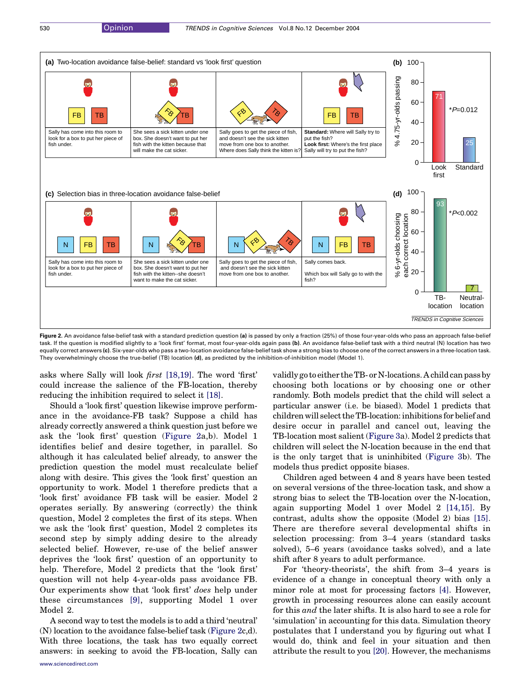

Figure 2. An avoidance false-belief task with a standard prediction question (a) is passed by only a fraction (25%) of those four-year-olds who pass an approach false-belief task. If the question is modified slightly to a 'look first' format, most four-year-olds again pass (b). An avoidance false-belief task with a third neutral (N) location has two equally correct answers (c). Six-year-olds who pass a two-location avoidance false-belief task show a strong bias to choose one of the correct answers in a three-location task. They overwhelmingly choose the true-belief (TB) location (d), as predicted by the inhibition-of-inhibition model (Model 1).

asks where Sally will look first [\[18,19\]](#page-5-0). The word 'first' could increase the salience of the FB-location, thereby reducing the inhibition required to select it [\[18\].](#page-5-0)

Should a 'look first' question likewise improve performance in the avoidance-FB task? Suppose a child has already correctly answered a think question just before we ask the 'look first' question (Figure 2a,b). Model 1 identifies belief and desire together, in parallel. So although it has calculated belief already, to answer the prediction question the model must recalculate belief along with desire. This gives the 'look first' question an opportunity to work. Model 1 therefore predicts that a 'look first' avoidance FB task will be easier. Model 2 operates serially. By answering (correctly) the think question, Model 2 completes the first of its steps. When we ask the 'look first' question, Model 2 completes its second step by simply adding desire to the already selected belief. However, re-use of the belief answer deprives the 'look first' question of an opportunity to help. Therefore, Model 2 predicts that the 'look first' question will not help 4-year-olds pass avoidance FB. Our experiments show that 'look first' does help under these circumstances [\[9\],](#page-4-0) supporting Model 1 over Model 2.

A second way to test the models is to add a third 'neutral' (N) location to the avoidance false-belief task (Figure 2c,d). With three locations, the task has two equally correct answers: in seeking to avoid the FB-location, Sally can validly go to either the TB-or N-locations. A child can pass by choosing both locations or by choosing one or other randomly. Both models predict that the child will select a particular answer (i.e. be biased). Model 1 predicts that children will selectthe TB-location: inhibitions for belief and desire occur in parallel and cancel out, leaving the TB-location most salient [\(Figure 3a](#page-3-0)). Model 2 predicts that children will select the N-location because in the end that is the only target that is uninhibited [\(Figure 3](#page-3-0)b). The models thus predict opposite biases.

Children aged between 4 and 8 years have been tested on several versions of the three-location task, and show a strong bias to select the TB-location over the N-location, again supporting Model 1 over Model 2 [\[14,15\]](#page-5-0). By contrast, adults show the opposite (Model 2) bias [\[15\]](#page-5-0). There are therefore several developmental shifts in selection processing: from 3–4 years (standard tasks solved), 5–6 years (avoidance tasks solved), and a late shift after 8 years to adult performance.

For 'theory-theorists', the shift from 3–4 years is evidence of a change in conceptual theory with only a minor role at most for processing factors [\[4\].](#page-4-0) However, growth in processing resources alone can easily account for this and the later shifts. It is also hard to see a role for 'simulation' in accounting for this data. Simulation theory postulates that I understand you by figuring out what I would do, think and feel in your situation and then attribute the result to you [\[20\].](#page-5-0) However, the mechanisms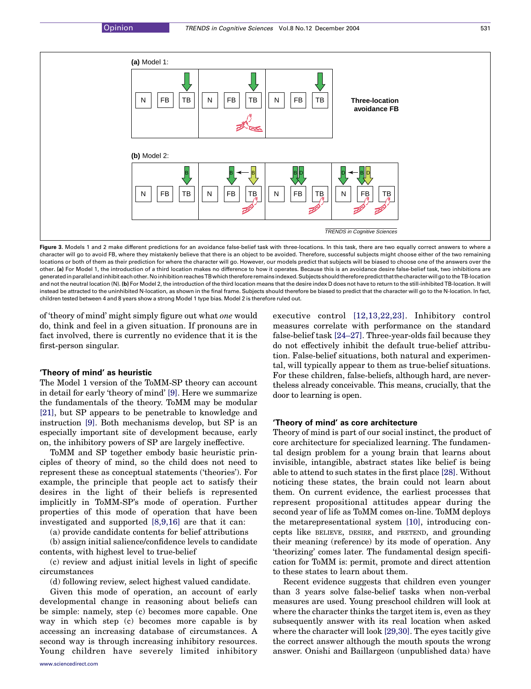<span id="page-3-0"></span>

Figure 3. Models 1 and 2 make different predictions for an avoidance false-belief task with three-locations. In this task, there are two equally correct answers to where a character will go to avoid FB, where they mistakenly believe that there is an object to be avoided. Therefore, successful subjects might choose either of the two remaining locations or both of them as their prediction for where the character will go. However, our models predict that subjects will be biased to choose one of the answers over the other. (a) For Model 1, the introduction of a third location makes no difference to how it operates. Because this is an avoidance desire false-belief task, two inhibitions are generatedinparallelandinhibiteachother.NoinhibitionreachesTBwhichthereforeremainsindexed.SubjectsshouldthereforepredictthatthecharacterwillgototheTB-location and not the neutral location (N). (b) For Model 2, the introduction of the third location means that the desire index D does not have to return to the still-inhibited TB-location. It will instead be attracted to the uninhibited N-location, as shown in the final frame. Subjects should therefore be biased to predict that the character will go to the N-location. In fact, children tested between 4 and 8 years show a strong Model 1 type bias. Model 2 is therefore ruled out.

of 'theory of mind' might simply figure out what one would do, think and feel in a given situation. If pronouns are in fact involved, there is currently no evidence that it is the first-person singular.

## 'Theory of mind' as heuristic

The Model 1 version of the ToMM-SP theory can account in detail for early 'theory of mind' [\[9\].](#page-4-0) Here we summarize the fundamentals of the theory. ToMM may be modular [\[21\],](#page-5-0) but SP appears to be penetrable to knowledge and instruction [\[9\].](#page-4-0) Both mechanisms develop, but SP is an especially important site of development because, early on, the inhibitory powers of SP are largely ineffective.

ToMM and SP together embody basic heuristic principles of theory of mind, so the child does not need to represent these as conceptual statements ('theories'). For example, the principle that people act to satisfy their desires in the light of their beliefs is represented implicitly in ToMM-SP's mode of operation. Further properties of this mode of operation that have been investigated and supported [\[8,9,16\]](#page-4-0) are that it can:

(a) provide candidate contents for belief attributions

(b) assign initial salience/confidence levels to candidate contents, with highest level to true-belief

(c) review and adjust initial levels in light of specific circumstances

(d) following review, select highest valued candidate.

Given this mode of operation, an account of early developmental change in reasoning about beliefs can be simple: namely, step (c) becomes more capable. One way in which step (c) becomes more capable is by accessing an increasing database of circumstances. A second way is through increasing inhibitory resources. Young children have severely limited inhibitory executive control [\[12,13,22,23\]](#page-4-0). Inhibitory control measures correlate with performance on the standard false-belief task [\[24–27\].](#page-5-0) Three-year-olds fail because they do not effectively inhibit the default true-belief attribution. False-belief situations, both natural and experimental, will typically appear to them as true-belief situations. For these children, false-beliefs, although hard, are nevertheless already conceivable. This means, crucially, that the door to learning is open.

# 'Theory of mind' as core architecture

Theory of mind is part of our social instinct, the product of core architecture for specialized learning. The fundamental design problem for a young brain that learns about invisible, intangible, abstract states like belief is being able to attend to such states in the first place [\[28\].](#page-5-0) Without noticing these states, the brain could not learn about them. On current evidence, the earliest processes that represent propositional attitudes appear during the second year of life as ToMM comes on-line. ToMM deploys the metarepresentational system [\[10\]](#page-4-0), introducing concepts like BELIEVE, DESIRE, and PRETEND, and grounding their meaning (reference) by its mode of operation. Any 'theorizing' comes later. The fundamental design specification for ToMM is: permit, promote and direct attention to these states to learn about them.

Recent evidence suggests that children even younger than 3 years solve false-belief tasks when non-verbal measures are used. Young preschool children will look at where the character thinks the target item is, even as they subsequently answer with its real location when asked where the character will look [\[29,30\].](#page-5-0) The eyes tacitly give the correct answer although the mouth spouts the wrong answer. Onishi and Baillargeon (unpublished data) have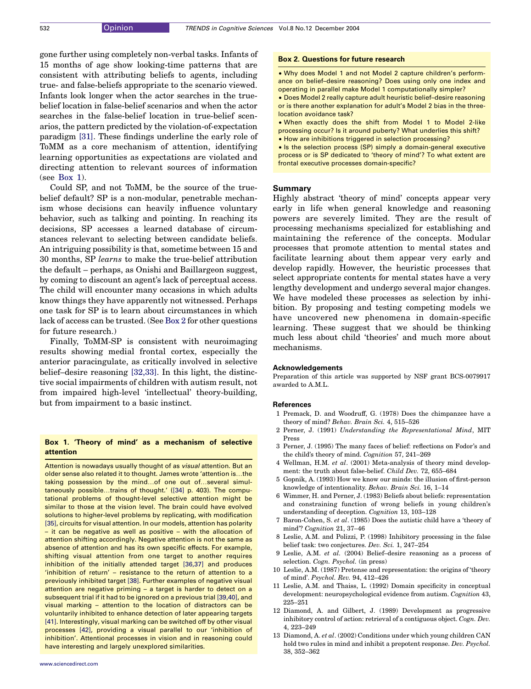<span id="page-4-0"></span>gone further using completely non-verbal tasks. Infants of 15 months of age show looking-time patterns that are consistent with attributing beliefs to agents, including true- and false-beliefs appropriate to the scenario viewed. Infants look longer when the actor searches in the truebelief location in false-belief scenarios and when the actor searches in the false-belief location in true-belief scenarios, the pattern predicted by the violation-of-expectation paradigm [\[31\].](#page-5-0) These findings underline the early role of ToMM as a core mechanism of attention, identifying learning opportunities as expectations are violated and directing attention to relevant sources of information  $(see Box 1).$ 

Could SP, and not ToMM, be the source of the truebelief default? SP is a non-modular, penetrable mechanism whose decisions can heavily influence voluntary behavior, such as talking and pointing. In reaching its decisions, SP accesses a learned database of circumstances relevant to selecting between candidate beliefs. An intriguing possibility is that, sometime between 15 and 30 months, SP learns to make the true-belief attribution the default – perhaps, as Onishi and Baillargeon suggest, by coming to discount an agent's lack of perceptual access. The child will encounter many occasions in which adults know things they have apparently not witnessed. Perhaps one task for SP is to learn about circumstances in which lack of access can be trusted. (See Box 2 for other questions for future research.)

Finally, ToMM-SP is consistent with neuroimaging results showing medial frontal cortex, especially the anterior paracingulate, as critically involved in selective belief–desire reasoning [\[32,33\].](#page-5-0) In this light, the distinctive social impairments of children with autism result, not from impaired high-level 'intellectual' theory-building, but from impairment to a basic instinct.

## Box 1. 'Theory of mind' as a mechanism of selective attention

Attention is nowadays usually thought of as *visual* attention. But an older sense also related it to thought. James wrote 'attention is...the taking possession by the mind...of one out of...several simul-taneously possible...trains of thought.' [\(\[34\]](#page-5-0) p. 403). The computational problems of thought-level selective attention might be similar to those at the vision level. The brain could have evolved solutions to higher-level problems by replicating, with modification [\[35\]](#page-5-0), circuits for visual attention. In our models, attention has polarity – it can be negative as well as positive – with the allocation of attention shifting accordingly. Negative attention is not the same as absence of attention and has its own specific effects. For example, shifting visual attention from one target to another requires inhibition of the initially attended target [\[36,37\]](#page-5-0) and produces 'inhibition of return' – resistance to the return of attention to a previously inhibited target [\[38\]](#page-5-0). Further examples of negative visual attention are negative priming – a target is harder to detect on a subsequent trial if it had to be ignored on a previous trial [\[39,40\],](#page-5-0) and visual marking – attention to the location of distractors can be voluntarily inhibited to enhance detection of later appearing targets [\[41\]](#page-5-0). Interestingly, visual marking can be switched off by other visual processes [\[42\],](#page-5-0) providing a visual parallel to our 'inhibition of inhibition'. Attentional processes in vision and in reasoning could have interesting and largely unexplored similarities.

#### Box 2. Questions for future research

• Why does Model 1 and not Model 2 capture children's performance on belief–desire reasoning? Does using only one index and operating in parallel make Model 1 computationally simpler?

- † Does Model 2 really capture adult heuristic belief–desire reasoning or is there another explanation for adult's Model 2 bias in the threelocation avoidance task?
- † When exactly does the shift from Model 1 to Model 2-like
- processing occur? Is it around puberty? What underlies this shift?
- † How are inhibitions triggered in selection processing?
- Is the selection process (SP) simply a domain-general executive process or is SP dedicated to 'theory of mind'? To what extent are frontal executive processes domain-specific?

#### Summary

Highly abstract 'theory of mind' concepts appear very early in life when general knowledge and reasoning powers are severely limited. They are the result of processing mechanisms specialized for establishing and maintaining the reference of the concepts. Modular processes that promote attention to mental states and facilitate learning about them appear very early and develop rapidly. However, the heuristic processes that select appropriate contents for mental states have a very lengthy development and undergo several major changes. We have modeled these processes as selection by inhibition. By proposing and testing competing models we have uncovered new phenomena in domain-specific learning. These suggest that we should be thinking much less about child 'theories' and much more about mechanisms.

#### Acknowledgements

Preparation of this article was supported by NSF grant BCS-0079917 awarded to A.M.L.

#### References

- 1 Premack, D. and Woodruff, G. (1978) Does the chimpanzee have a theory of mind? Behav. Brain Sci. 4, 515–526
- 2 Perner, J. (1991) Understanding the Representational Mind, MIT Press
- 3 Perner, J. (1995) The many faces of belief: reflections on Fodor's and the child's theory of mind. Cognition 57, 241–269
- 4 Wellman, H.M. et al. (2001) Meta-analysis of theory mind development: the truth about false-belief. Child Dev. 72, 655–684
- 5 Gopnik, A. (1993) How we know our minds: the illusion of first-person knowledge of intentionality. Behav. Brain Sci. 16, 1–14
- 6 Wimmer, H. and Perner, J. (1983) Beliefs about beliefs: representation and constraining function of wrong beliefs in young children's understanding of deception. Cognition 13, 103–128
- 7 Baron-Cohen, S. et al. (1985) Does the autistic child have a 'theory of mind'? Cognition 21, 37–46
- 8 Leslie, A.M. and Polizzi, P. (1998) Inhibitory processing in the false belief task: two conjectures. Dev. Sci. 1, 247–254
- 9 Leslie, A.M. et al. (2004) Belief–desire reasoning as a process of selection. Cogn. Psychol. (in press)
- 10 Leslie, A.M. (1987) Pretense and representation: the origins of 'theory of mind'. Psychol. Rev. 94, 412–426
- 11 Leslie, A.M. and Thaiss, L. (1992) Domain specificity in conceptual development: neuropsychological evidence from autism. Cognition 43, 225–251
- 12 Diamond, A. and Gilbert, J. (1989) Development as progressive inhibitory control of action: retrieval of a contiguous object. Cogn. Dev. 4, 223–249
- 13 Diamond, A. et al. (2002) Conditions under which young children CAN hold two rules in mind and inhibit a prepotent response. Dev. Psychol. 38, 352–362